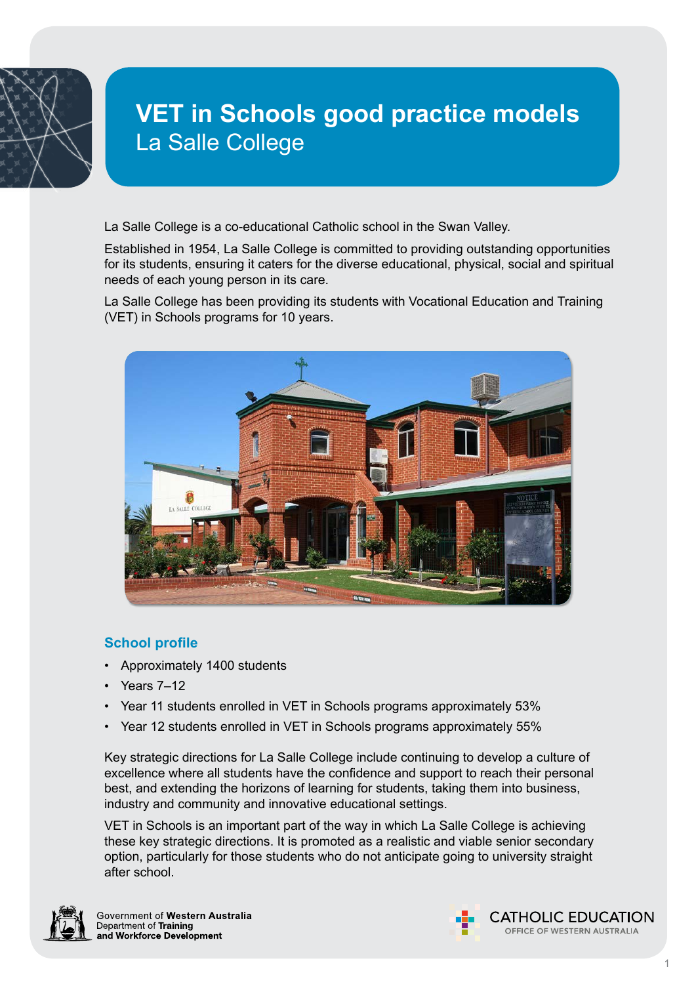

# **VET in Schools good practice models** La Salle College

La Salle College is a co-educational Catholic school in the Swan Valley.

Established in 1954, La Salle College is committed to providing outstanding opportunities for its students, ensuring it caters for the diverse educational, physical, social and spiritual needs of each young person in its care.

La Salle College has been providing its students with Vocational Education and Training (VET) in Schools programs for 10 years.



# **School profile**

- Approximately 1400 students
- Years 7–12
- Year 11 students enrolled in VET in Schools programs approximately 53%
- Year 12 students enrolled in VET in Schools programs approximately 55%

Key strategic directions for La Salle College include continuing to develop a culture of excellence where all students have the confidence and support to reach their personal best, and extending the horizons of learning for students, taking them into business, industry and community and innovative educational settings.

VET in Schools is an important part of the way in which La Salle College is achieving these key strategic directions. It is promoted as a realistic and viable senior secondary option, particularly for those students who do not anticipate going to university straight after school.



Government of Western Australia Department of Training and Workforce Development

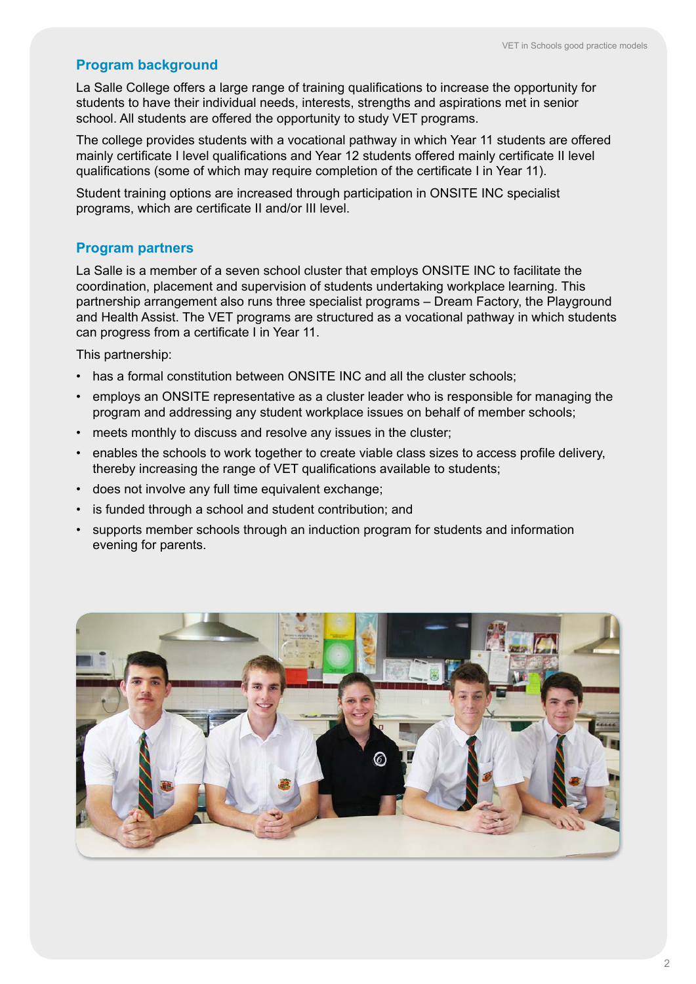# **Program background**

La Salle College offers a large range of training qualifications to increase the opportunity for students to have their individual needs, interests, strengths and aspirations met in senior school. All students are offered the opportunity to study VET programs.

The college provides students with a vocational pathway in which Year 11 students are offered mainly certificate I level qualifications and Year 12 students offered mainly certificate II level qualifications (some of which may require completion of the certificate I in Year 11).

Student training options are increased through participation in ONSITE INC specialist programs, which are certificate II and/or III level.

#### **Program partners**

La Salle is a member of a seven school cluster that employs ONSITE INC to facilitate the coordination, placement and supervision of students undertaking workplace learning. This partnership arrangement also runs three specialist programs – Dream Factory, the Playground and Health Assist. The VET programs are structured as a vocational pathway in which students can progress from a certificate I in Year 11.

This partnership:

- has a formal constitution between ONSITE INC and all the cluster schools;
- employs an ONSITE representative as a cluster leader who is responsible for managing the program and addressing any student workplace issues on behalf of member schools;
- meets monthly to discuss and resolve any issues in the cluster;
- enables the schools to work together to create viable class sizes to access profile delivery, thereby increasing the range of VET qualifications available to students;
- does not involve any full time equivalent exchange;
- is funded through a school and student contribution; and
- supports member schools through an induction program for students and information evening for parents.

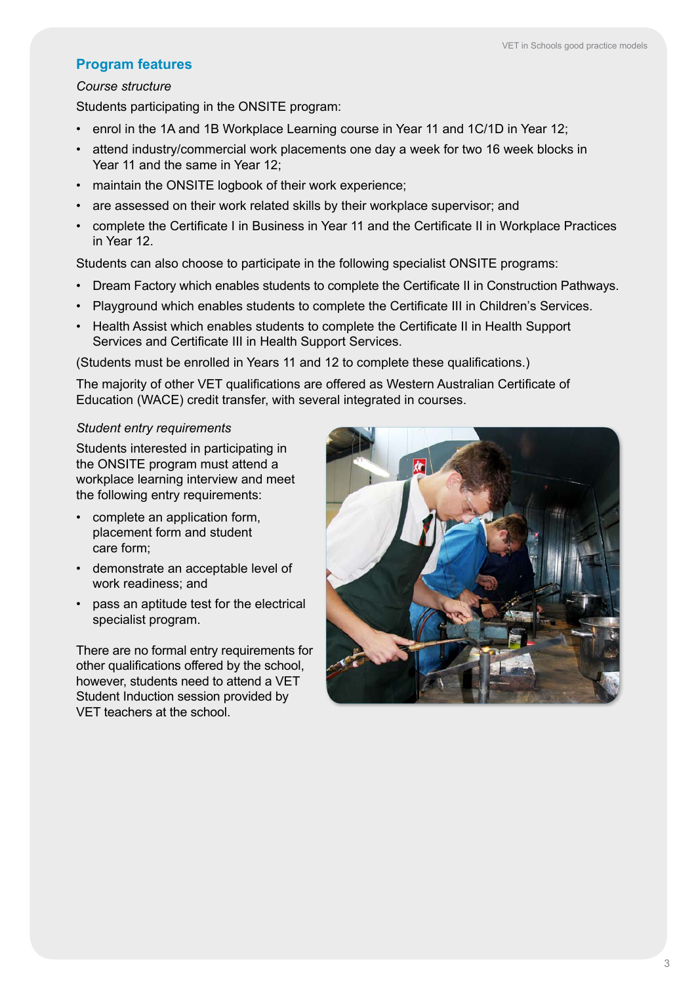# **Program features**

#### *Course structure*

Students participating in the ONSITE program:

- enrol in the 1A and 1B Workplace Learning course in Year 11 and 1C/1D in Year 12;
- attend industry/commercial work placements one day a week for two 16 week blocks in Year 11 and the same in Year 12;
- maintain the ONSITE logbook of their work experience;
- are assessed on their work related skills by their workplace supervisor; and
- complete the Certificate I in Business in Year 11 and the Certificate II in Workplace Practices in Year 12.

Students can also choose to participate in the following specialist ONSITE programs:

- Dream Factory which enables students to complete the Certificate II in Construction Pathways.
- Playground which enables students to complete the Certificate III in Children's Services.
- Health Assist which enables students to complete the Certificate II in Health Support Services and Certificate III in Health Support Services.

(Students must be enrolled in Years 11 and 12 to complete these qualifications.)

The majority of other VET qualifications are offered as Western Australian Certificate of Education (WACE) credit transfer, with several integrated in courses.

#### *Student entry requirements*

Students interested in participating in the ONSITE program must attend a workplace learning interview and meet the following entry requirements:

- complete an application form, placement form and student care form;
- demonstrate an acceptable level of work readiness; and
- pass an aptitude test for the electrical specialist program.

There are no formal entry requirements for other qualifications offered by the school, however, students need to attend a VET Student Induction session provided by VET teachers at the school.

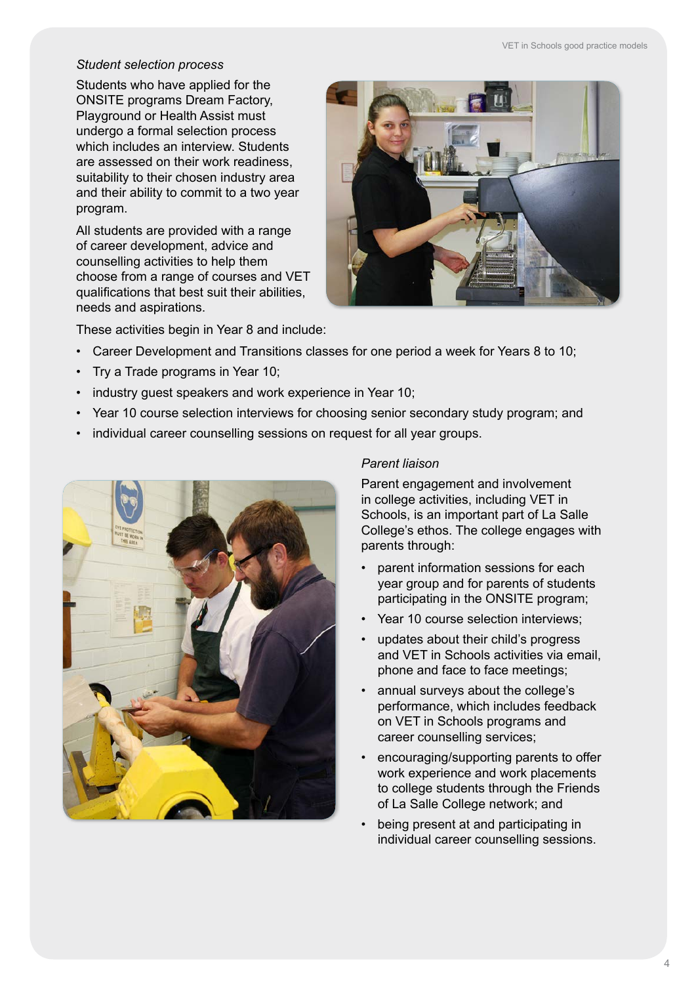# *Student selection process*

Students who have applied for the ONSITE programs Dream Factory, Playground or Health Assist must undergo a formal selection process which includes an interview. Students are assessed on their work readiness, suitability to their chosen industry area and their ability to commit to a two year program.

All students are provided with a range of career development, advice and counselling activities to help them choose from a range of courses and VET qualifications that best suit their abilities, needs and aspirations.



These activities begin in Year 8 and include:

- Career Development and Transitions classes for one period a week for Years 8 to 10;
- Try a Trade programs in Year 10;
- industry guest speakers and work experience in Year 10;
- Year 10 course selection interviews for choosing senior secondary study program; and
- individual career counselling sessions on request for all year groups.



#### *Parent liaison*

Parent engagement and involvement in college activities, including VET in Schools, is an important part of La Salle College's ethos. The college engages with parents through:

- parent information sessions for each year group and for parents of students participating in the ONSITE program;
- Year 10 course selection interviews;
- updates about their child's progress and VET in Schools activities via email, phone and face to face meetings;
- annual surveys about the college's performance, which includes feedback on VET in Schools programs and career counselling services;
- encouraging/supporting parents to offer work experience and work placements to college students through the Friends of La Salle College network; and
- being present at and participating in individual career counselling sessions.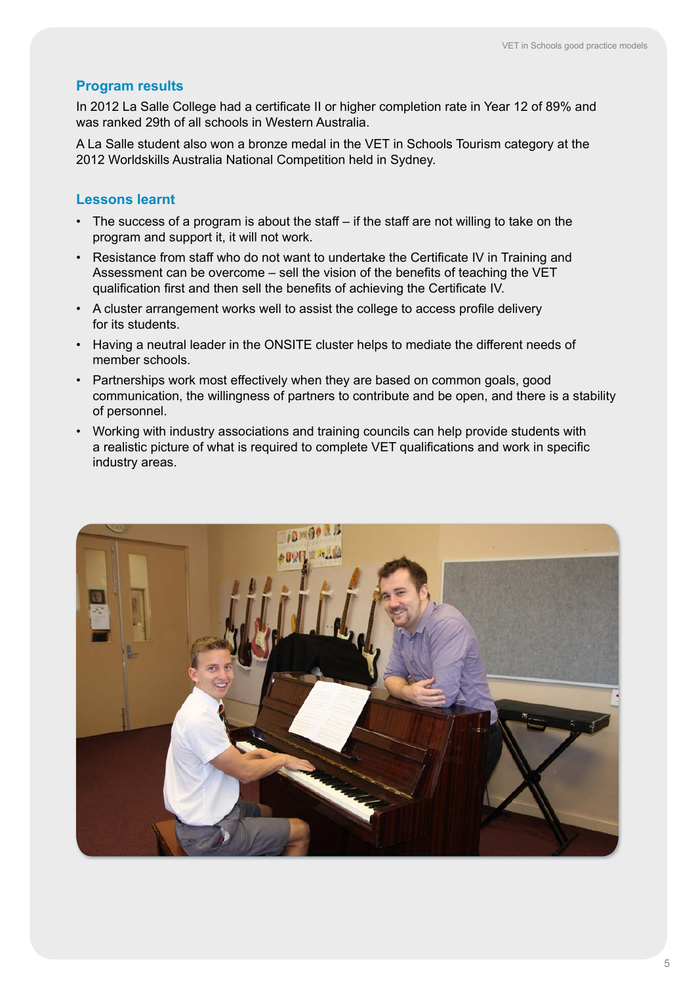# **Program results**

In 2012 La Salle College had a certificate II or higher completion rate in Year 12 of 89% and was ranked 29th of all schools in Western Australia.

A La Salle student also won a bronze medal in the VET in Schools Tourism category at the 2012 Worldskills Australia National Competition held in Sydney.

## **Lessons learnt**

- The success of a program is about the staff if the staff are not willing to take on the program and support it, it will not work.
- Resistance from staff who do not want to undertake the Certificate IV in Training and Assessment can be overcome – sell the vision of the benefits of teaching the VET qualification first and then sell the benefits of achieving the Certificate IV.
- A cluster arrangement works well to assist the college to access profile delivery for its students.
- Having a neutral leader in the ONSITE cluster helps to mediate the different needs of member schools.
- Partnerships work most effectively when they are based on common goals, good communication, the willingness of partners to contribute and be open, and there is a stability of personnel.
- Working with industry associations and training councils can help provide students with a realistic picture of what is required to complete VET qualifications and work in specific industry areas.